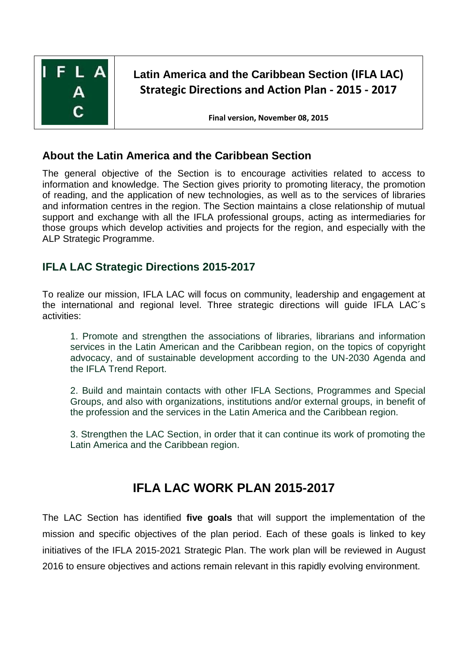

## **Latin America and the Caribbean Section (IFLA LAC) Strategic Directions and Action Plan - 2015 - 2017**

**Final version, November 08, 2015**

### **About the Latin America and the Caribbean Section**

The general objective of the Section is to encourage activities related to access to information and knowledge. The Section gives priority to promoting literacy, the promotion of reading, and the application of new technologies, as well as to the services of libraries and information centres in the region. The Section maintains a close relationship of mutual support and exchange with all the IFLA professional groups, acting as intermediaries for those groups which develop activities and projects for the region, and especially with the ALP Strategic Programme.

### **IFLA LAC Strategic Directions 2015-2017**

To realize our mission, IFLA LAC will focus on community, leadership and engagement at the international and regional level. Three strategic directions will guide IFLA LAC´s activities:

1. Promote and strengthen the associations of libraries, librarians and information services in the Latin American and the Caribbean region, on the topics of copyright advocacy, and of sustainable development according to the UN-2030 Agenda and the IFLA Trend Report.

2. Build and maintain contacts with other IFLA Sections, Programmes and Special Groups, and also with organizations, institutions and/or external groups, in benefit of the profession and the services in the Latin America and the Caribbean region.

3. Strengthen the LAC Section, in order that it can continue its work of promoting the Latin America and the Caribbean region.

# **IFLA LAC WORK PLAN 2015-2017**

The LAC Section has identified **five goals** that will support the implementation of the mission and specific objectives of the plan period. Each of these goals is linked to key initiatives of the IFLA 2015-2021 Strategic Plan. The work plan will be reviewed in August 2016 to ensure objectives and actions remain relevant in this rapidly evolving environment.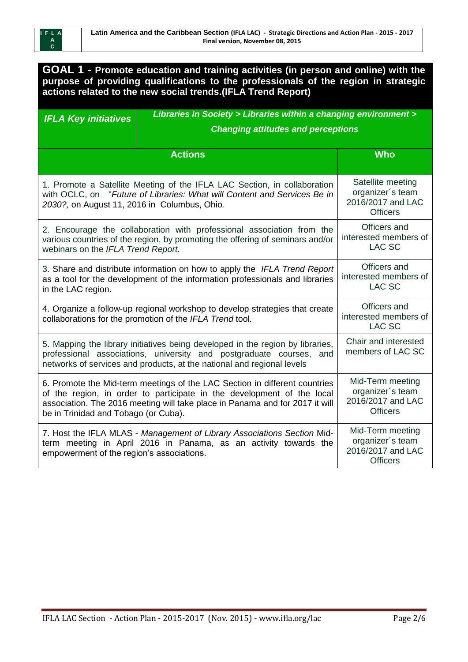| GOAL 1 - Promote education and training activities (in person and online) with the<br>purpose of providing qualifications to the professionals of the region in strategic<br>actions related to the new social trends.(IFLA Trend Report)                                    |                                                                              |                                                                               |  |  |
|------------------------------------------------------------------------------------------------------------------------------------------------------------------------------------------------------------------------------------------------------------------------------|------------------------------------------------------------------------------|-------------------------------------------------------------------------------|--|--|
| <b>IFLA Key initiatives</b>                                                                                                                                                                                                                                                  | Libraries in Society > Libraries within a changing environment >             |                                                                               |  |  |
|                                                                                                                                                                                                                                                                              | <b>Changing attitudes and perceptions</b>                                    |                                                                               |  |  |
|                                                                                                                                                                                                                                                                              | <b>Actions</b>                                                               | <b>Who</b>                                                                    |  |  |
| 1. Promote a Satellite Meeting of the IFLA LAC Section, in collaboration<br>with OCLC, on "Future of Libraries: What will Content and Services Be in<br>2030?, on August 11, 2016 in Columbus, Ohio.                                                                         |                                                                              | Satellite meeting<br>organizer's team<br>2016/2017 and LAC<br><b>Officers</b> |  |  |
| 2. Encourage the collaboration with professional association from the<br>various countries of the region, by promoting the offering of seminars and/or<br>webinars on the IFLA Trend Report.                                                                                 |                                                                              | Officers and<br>interested members of<br><b>LAC SC</b>                        |  |  |
| 3. Share and distribute information on how to apply the IFLA Trend Report<br>as a tool for the development of the information professionals and libraries<br>in the LAC region.                                                                                              |                                                                              | Officers and<br>interested members of<br><b>LAC SC</b>                        |  |  |
| 4. Organize a follow-up regional workshop to develop strategies that create<br>collaborations for the promotion of the IFLA Trend tool.                                                                                                                                      |                                                                              | Officers and<br>interested members of<br><b>LAC SC</b>                        |  |  |
| 5. Mapping the library initiatives being developed in the region by libraries,<br>professional associations, university and postgraduate courses, and<br>networks of services and products, at the national and regional levels                                              | Chair and interested<br>members of LAC SC                                    |                                                                               |  |  |
| 6. Promote the Mid-term meetings of the LAC Section in different countries<br>of the region, in order to participate in the development of the local<br>association. The 2016 meeting will take place in Panama and for 2017 it will<br>be in Trinidad and Tobago (or Cuba). |                                                                              | Mid-Term meeting<br>organizer's team<br>2016/2017 and LAC<br><b>Officers</b>  |  |  |
| 7. Host the IFLA MLAS - Management of Library Associations Section Mid-<br>term meeting in April 2016 in Panama, as an activity towards the<br>empowerment of the region's associations.                                                                                     | Mid-Term meeting<br>organizer's team<br>2016/2017 and LAC<br><b>Officers</b> |                                                                               |  |  |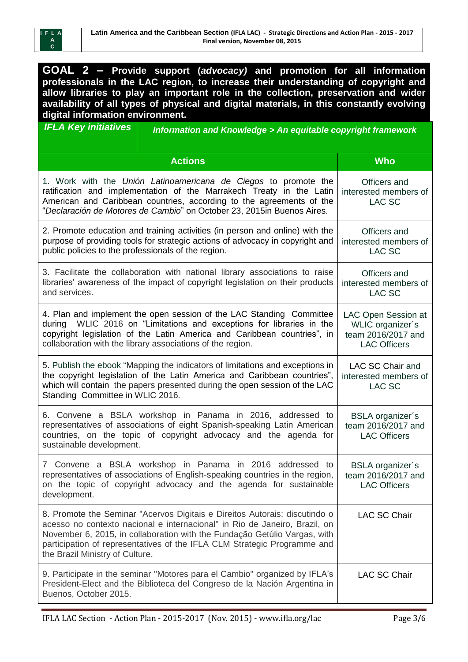| GOAL 2 - Provide support (advocacy) and promotion for all information<br>professionals in the LAC region, to increase their understanding of copyright and<br>allow libraries to play an important role in the collection, preservation and wider<br>availability of all types of physical and digital materials, in this constantly evolving<br>digital information environment. |                                                                                      |  |  |
|-----------------------------------------------------------------------------------------------------------------------------------------------------------------------------------------------------------------------------------------------------------------------------------------------------------------------------------------------------------------------------------|--------------------------------------------------------------------------------------|--|--|
| <b>IFLA Key initiatives</b><br><b>Information and Knowledge &gt; An equitable copyright framework</b>                                                                                                                                                                                                                                                                             |                                                                                      |  |  |
| <b>Actions</b>                                                                                                                                                                                                                                                                                                                                                                    | <b>Who</b>                                                                           |  |  |
| 1. Work with the Unión Latinoamericana de Ciegos to promote the<br>ratification and implementation of the Marrakech Treaty in the Latin<br>American and Caribbean countries, according to the agreements of the<br>"Declaración de Motores de Cambio" on October 23, 2015 in Buenos Aires.                                                                                        | Officers and<br>interested members of<br>LAC SC                                      |  |  |
| 2. Promote education and training activities (in person and online) with the<br>purpose of providing tools for strategic actions of advocacy in copyright and<br>public policies to the professionals of the region.                                                                                                                                                              | Officers and<br>interested members of<br><b>LAC SC</b>                               |  |  |
| 3. Facilitate the collaboration with national library associations to raise<br>libraries' awareness of the impact of copyright legislation on their products<br>and services.                                                                                                                                                                                                     | Officers and<br>interested members of<br><b>LAC SC</b>                               |  |  |
| 4. Plan and implement the open session of the LAC Standing Committee<br>during WLIC 2016 on "Limitations and exceptions for libraries in the<br>copyright legislation of the Latin America and Caribbean countries", in<br>collaboration with the library associations of the region.                                                                                             | LAC Open Session at<br>WLIC organizer's<br>team 2016/2017 and<br><b>LAC Officers</b> |  |  |
| 5. Publish the ebook "Mapping the indicators of limitations and exceptions in<br>the copyright legislation of the Latin America and Caribbean countries",<br>which will contain the papers presented during the open session of the LAC<br>Standing Committee in WLIC 2016.                                                                                                       | LAC SC Chair and<br>interested members of<br><b>LAC SC</b>                           |  |  |
| 6. Convene a BSLA workshop in Panama in 2016, addressed to<br>representatives of associations of eight Spanish-speaking Latin American<br>countries, on the topic of copyright advocacy and the agenda for<br>sustainable development.                                                                                                                                            | BSLA organizer's<br>team 2016/2017 and<br><b>LAC Officers</b>                        |  |  |
| 7 Convene a BSLA workshop in Panama in 2016 addressed to<br>representatives of associations of English-speaking countries in the region,<br>on the topic of copyright advocacy and the agenda for sustainable<br>development.                                                                                                                                                     | <b>BSLA</b> organizer's<br>team 2016/2017 and<br><b>LAC Officers</b>                 |  |  |
| 8. Promote the Seminar "Acervos Digitais e Direitos Autorais: discutindo o<br>acesso no contexto nacional e internacional" in Rio de Janeiro, Brazil, on<br>November 6, 2015, in collaboration with the Fundação Getúlio Vargas, with<br>participation of representatives of the IFLA CLM Strategic Programme and<br>the Brazil Ministry of Culture.                              | <b>LAC SC Chair</b>                                                                  |  |  |
| 9. Participate in the seminar "Motores para el Cambio" organized by IFLA's<br>President-Elect and the Biblioteca del Congreso de la Nación Argentina in<br>Buenos, October 2015.                                                                                                                                                                                                  | <b>LAC SC Chair</b>                                                                  |  |  |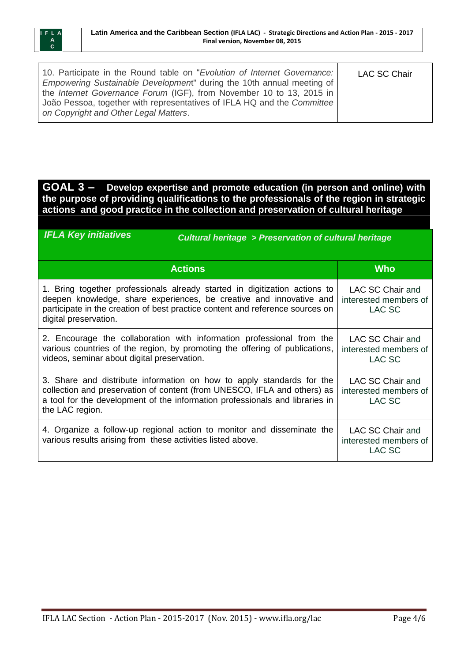#### **GOAL 3 – Develop expertise and promote education (in person and online) with the purpose of providing qualifications to the professionals of the region in strategic actions and good practice in the collection and preservation of cultural heritage**

| <b>IFLA Key initiatives</b>                                                                                                                                                                                                                                 | <b>Cultural heritage &gt; Preservation of cultural heritage</b> |                                                            |
|-------------------------------------------------------------------------------------------------------------------------------------------------------------------------------------------------------------------------------------------------------------|-----------------------------------------------------------------|------------------------------------------------------------|
|                                                                                                                                                                                                                                                             | <b>Actions</b>                                                  | <b>Who</b>                                                 |
| 1. Bring together professionals already started in digitization actions to<br>deepen knowledge, share experiences, be creative and innovative and<br>participate in the creation of best practice content and reference sources on<br>digital preservation. |                                                                 | LAC SC Chair and<br>interested members of<br>LAC SC        |
| 2. Encourage the collaboration with information professional from the<br>various countries of the region, by promoting the offering of publications,<br>videos, seminar about digital preservation.                                                         |                                                                 | LAC SC Chair and<br>interested members of<br>LAC SC        |
| 3. Share and distribute information on how to apply standards for the<br>collection and preservation of content (from UNESCO, IFLA and others) as<br>a tool for the development of the information professionals and libraries in<br>the LAC region.        |                                                                 | LAC SC Chair and<br>interested members of<br>LAC SC        |
| 4. Organize a follow-up regional action to monitor and disseminate the<br>various results arising from these activities listed above.                                                                                                                       |                                                                 | LAC SC Chair and<br>interested members of<br><b>LAC SC</b> |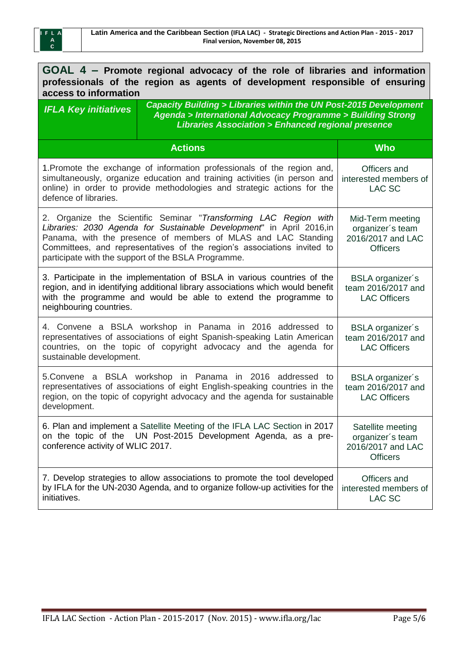| GOAL 4 – Promote regional advocacy of the role of libraries and information<br>professionals of the region as agents of development responsible of ensuring<br>access to information                                                                                                                                                         |                                                                                                                                                                                                                         |                                                                               |  |  |
|----------------------------------------------------------------------------------------------------------------------------------------------------------------------------------------------------------------------------------------------------------------------------------------------------------------------------------------------|-------------------------------------------------------------------------------------------------------------------------------------------------------------------------------------------------------------------------|-------------------------------------------------------------------------------|--|--|
| <b>IFLA Key initiatives</b>                                                                                                                                                                                                                                                                                                                  | <b>Capacity Building &gt; Libraries within the UN Post-2015 Development</b><br><b>Agenda &gt; International Advocacy Programme &gt; Building Strong</b><br><b>Libraries Association &gt; Enhanced regional presence</b> |                                                                               |  |  |
|                                                                                                                                                                                                                                                                                                                                              | <b>Actions</b>                                                                                                                                                                                                          | <b>Who</b>                                                                    |  |  |
| 1. Promote the exchange of information professionals of the region and,<br>simultaneously, organize education and training activities (in person and<br>online) in order to provide methodologies and strategic actions for the<br>defence of libraries.                                                                                     |                                                                                                                                                                                                                         | Officers and<br>interested members of<br><b>LAC SC</b>                        |  |  |
| 2. Organize the Scientific Seminar "Transforming LAC Region with<br>Libraries: 2030 Agenda for Sustainable Development" in April 2016, in<br>Panama, with the presence of members of MLAS and LAC Standing<br>Committees, and representatives of the region's associations invited to<br>participate with the support of the BSLA Programme. |                                                                                                                                                                                                                         | Mid-Term meeting<br>organizer's team<br>2016/2017 and LAC<br><b>Officers</b>  |  |  |
| 3. Participate in the implementation of BSLA in various countries of the<br>region, and in identifying additional library associations which would benefit<br>with the programme and would be able to extend the programme to<br>neighbouring countries.                                                                                     |                                                                                                                                                                                                                         | BSLA organizer's<br>team 2016/2017 and<br><b>LAC Officers</b>                 |  |  |
| 4. Convene a BSLA workshop in Panama in 2016 addressed to<br>representatives of associations of eight Spanish-speaking Latin American<br>countries, on the topic of copyright advocacy and the agenda for<br>sustainable development.                                                                                                        |                                                                                                                                                                                                                         | BSLA organizer's<br>team 2016/2017 and<br><b>LAC Officers</b>                 |  |  |
| 5.Convene a BSLA workshop in Panama in 2016 addressed to<br>representatives of associations of eight English-speaking countries in the<br>region, on the topic of copyright advocacy and the agenda for sustainable<br>development.                                                                                                          |                                                                                                                                                                                                                         | BSLA organizer's<br>team 2016/2017 and<br><b>LAC Officers</b>                 |  |  |
| 6. Plan and implement a Satellite Meeting of the IFLA LAC Section in 2017<br>UN Post-2015 Development Agenda, as a pre-<br>on the topic of the<br>conference activity of WLIC 2017.                                                                                                                                                          |                                                                                                                                                                                                                         | Satellite meeting<br>organizer's team<br>2016/2017 and LAC<br><b>Officers</b> |  |  |
| 7. Develop strategies to allow associations to promote the tool developed<br>by IFLA for the UN-2030 Agenda, and to organize follow-up activities for the<br>initiatives.                                                                                                                                                                    |                                                                                                                                                                                                                         | Officers and<br>interested members of<br><b>LAC SC</b>                        |  |  |